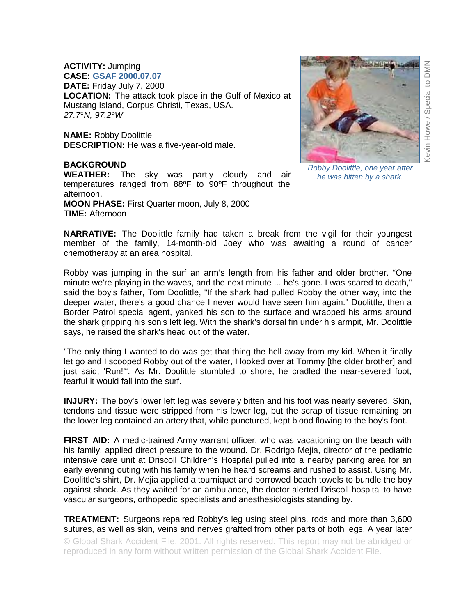## **ACTIVITY:** Jumping **CASE: GSAF 2000.07.07**

**DATE:** Friday July 7, 2000 **LOCATION:** The attack took place in the Gulf of Mexico at Mustang Island, Corpus Christi, Texas, USA. *27.7*°*N, 97.2°W* 

**NAME:** Robby Doolittle **DESCRIPTION:** He was a five-year-old male.

## **BACKGROUND**

**WEATHER:** The sky was partly cloudy and air temperatures ranged from 88ºF to 90ºF throughout the afternoon.

**MOON PHASE:** First Quarter moon, July 8, 2000 **TIME:** Afternoon



*Robby Doolittle, one year after he was bitten by a shark.* 

**NARRATIVE:** The Doolittle family had taken a break from the vigil for their youngest member of the family, 14-month-old Joey who was awaiting a round of cancer chemotherapy at an area hospital.

Robby was jumping in the surf an arm's length from his father and older brother. "One minute we're playing in the waves, and the next minute ... he's gone. I was scared to death," said the boy's father, Tom Doolittle, "If the shark had pulled Robby the other way, into the deeper water, there's a good chance I never would have seen him again." Doolittle, then a Border Patrol special agent, yanked his son to the surface and wrapped his arms around the shark gripping his son's left leg. With the shark's dorsal fin under his armpit, Mr. Doolittle says, he raised the shark's head out of the water.

"The only thing I wanted to do was get that thing the hell away from my kid. When it finally let go and I scooped Robby out of the water, I looked over at Tommy [the older brother] and just said, 'Run!'". As Mr. Doolittle stumbled to shore, he cradled the near-severed foot, fearful it would fall into the surf.

**INJURY:** The boy's lower left leg was severely bitten and his foot was nearly severed. Skin, tendons and tissue were stripped from his lower leg, but the scrap of tissue remaining on the lower leg contained an artery that, while punctured, kept blood flowing to the boy's foot.

**FIRST AID:** A medic-trained Army warrant officer, who was vacationing on the beach with his family, applied direct pressure to the wound. Dr. Rodrigo Mejia, director of the pediatric intensive care unit at Driscoll Children's Hospital pulled into a nearby parking area for an early evening outing with his family when he heard screams and rushed to assist. Using Mr. Doolittle's shirt, Dr. Mejia applied a tourniquet and borrowed beach towels to bundle the boy against shock. As they waited for an ambulance, the doctor alerted Driscoll hospital to have vascular surgeons, orthopedic specialists and anesthesiologists standing by.

**TREATMENT:** Surgeons repaired Robby's leg using steel pins, rods and more than 3,600 sutures, as well as skin, veins and nerves grafted from other parts of both legs. A year later

© Global Shark Accident File, 2001. All rights reserved. This report may not be abridged or reproduced in any form without written permission of the Global Shark Accident File.

Kevin Howe / Special to DMN **DMN** Kevin Howe / Special to